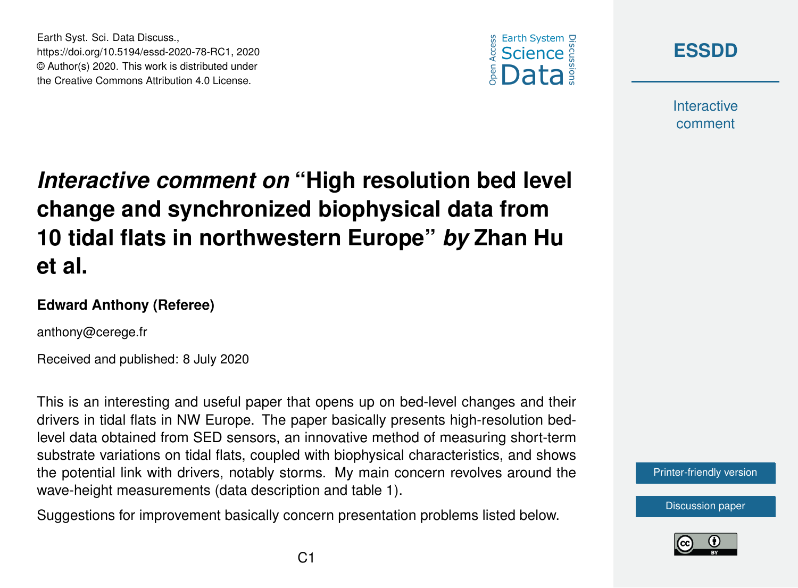



**Interactive** comment

## *Interactive comment on* **"High resolution bed level change and synchronized biophysical data from 10 tidal flats in northwestern Europe"** *by* **Zhan Hu et al.**

## **Edward Anthony (Referee)**

Earth Syst. Sci. Data Discuss.,

https://doi.org/10.5194/essd-2020-78-RC1, 2020 © Author(s) 2020. This work is distributed under the Creative Commons Attribution 4.0 License.

anthony@cerege.fr

Received and published: 8 July 2020

This is an interesting and useful paper that opens up on bed-level changes and their drivers in tidal flats in NW Europe. The paper basically presents high-resolution bedlevel data obtained from SED sensors, an innovative method of measuring short-term substrate variations on tidal flats, coupled with biophysical characteristics, and shows the potential link with drivers, notably storms. My main concern revolves around the wave-height measurements (data description and table 1).

Suggestions for improvement basically concern presentation problems listed below.



[Discussion paper](https://essd.copernicus.org/preprints/essd-2020-78)

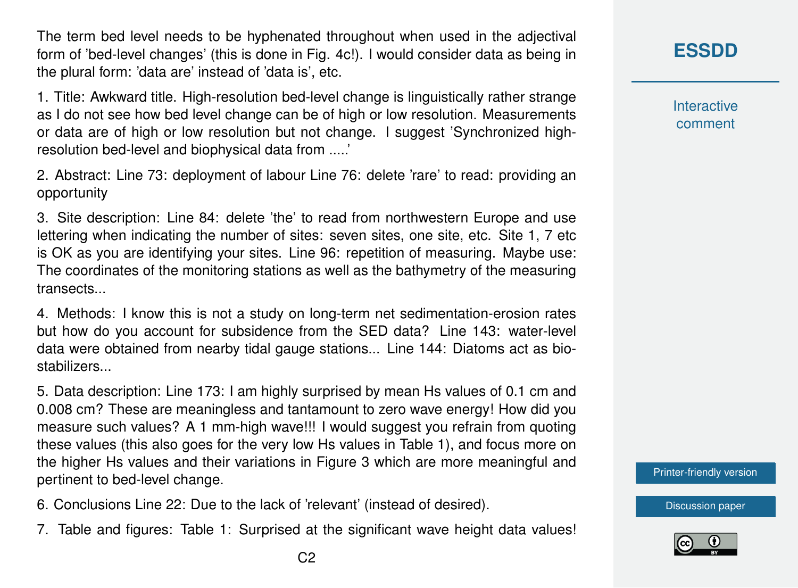The term bed level needs to be hyphenated throughout when used in the adjectival form of 'bed-level changes' (this is done in Fig. 4c!). I would consider data as being in the plural form: 'data are' instead of 'data is', etc.

1. Title: Awkward title. High-resolution bed-level change is linguistically rather strange as I do not see how bed level change can be of high or low resolution. Measurements or data are of high or low resolution but not change. I suggest 'Synchronized highresolution bed-level and biophysical data from .....'

2. Abstract: Line 73: deployment of labour Line 76: delete 'rare' to read: providing an opportunity

3. Site description: Line 84: delete 'the' to read from northwestern Europe and use lettering when indicating the number of sites: seven sites, one site, etc. Site 1, 7 etc is OK as you are identifying your sites. Line 96: repetition of measuring. Maybe use: The coordinates of the monitoring stations as well as the bathymetry of the measuring transects...

4. Methods: I know this is not a study on long-term net sedimentation-erosion rates but how do you account for subsidence from the SED data? Line 143: water-level data were obtained from nearby tidal gauge stations... Line 144: Diatoms act as biostabilizers...

5. Data description: Line 173: I am highly surprised by mean Hs values of 0.1 cm and 0.008 cm? These are meaningless and tantamount to zero wave energy! How did you measure such values? A 1 mm-high wave!!! I would suggest you refrain from quoting these values (this also goes for the very low Hs values in Table 1), and focus more on the higher Hs values and their variations in Figure 3 which are more meaningful and pertinent to bed-level change.

- 6. Conclusions Line 22: Due to the lack of 'relevant' (instead of desired).
- 7. Table and figures: Table 1: Surprised at the significant wave height data values!

**Interactive** comment

[Printer-friendly version](https://essd.copernicus.org/preprints/essd-2020-78/essd-2020-78-RC1-print.pdf)

[Discussion paper](https://essd.copernicus.org/preprints/essd-2020-78)